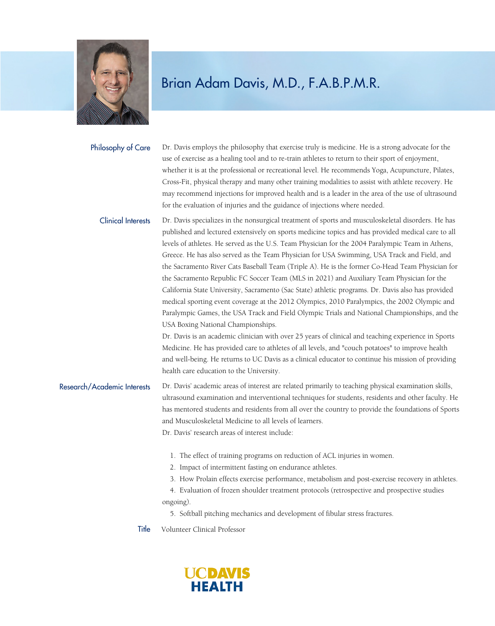

Dr. Davis employs the philosophy that exercise truly is medicine. He is a strong advocate for the use of exercise as a healing tool and to re-train athletes to return to their sport of enjoyment, whether it is at the professional or recreational level. He recommends Yoga, Acupuncture, Pilates, Cross-Fit, physical therapy and many other training modalities to assist with athlete recovery. He may recommend injections for improved health and is a leader in the area of the use of ultrasound for the evaluation of injuries and the guidance of injections where needed. Philosophy of Care

Dr. Davis specializes in the nonsurgical treatment of sports and musculoskeletal disorders. He has published and lectured extensively on sports medicine topics and has provided medical care to all levels of athletes. He served as the U.S. Team Physician for the 2004 Paralympic Team in Athens, Greece. He has also served as the Team Physician for USA Swimming, USA Track and Field, and the Sacramento River Cats Baseball Team (Triple A). He is the former Co-Head Team Physician for the Sacramento Republic FC Soccer Team (MLS in 2021) and Auxiliary Team Physician for the California State University, Sacramento (Sac State) athletic programs. Dr. Davis also has provided medical sporting event coverage at the 2012 Olympics, 2010 Paralympics, the 2002 Olympic and Paralympic Games, the USA Track and Field Olympic Trials and National Championships, and the USA Boxing National Championships. Clinical Interests

> Dr. Davis is an academic clinician with over 25 years of clinical and teaching experience in Sports Medicine. He has provided care to athletes of all levels, and "couch potatoes" to improve health and well-being. He returns to UC Davis as a clinical educator to continue his mission of providing health care education to the University.

Dr. Davis' academic areas of interest are related primarily to teaching physical examination skills, ultrasound examination and interventional techniques for students, residents and other faculty. He has mentored students and residents from all over the country to provide the foundations of Sports and Musculoskeletal Medicine to all levels of learners. Research/Academic Interests

Dr. Davis' research areas of interest include:

- 1. The effect of training programs on reduction of ACL injuries in women.
- 2. Impact of intermittent fasting on endurance athletes.
- 3. How Prolain effects exercise performance, metabolism and post-exercise recovery in athletes.
- 4. Evaluation of frozen shoulder treatment protocols (retrospective and prospective studies
- ongoing).

5. Softball pitching mechanics and development of fibular stress fractures.

Title Volunteer Clinical Professor

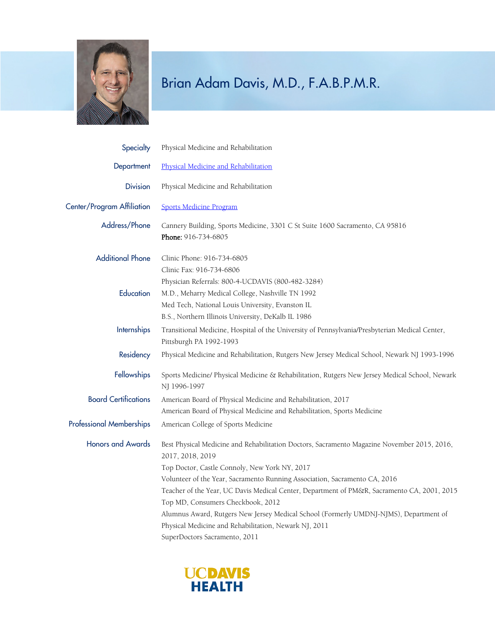

| Physical Medicine and Rehabilitation                                                                                                                                            |
|---------------------------------------------------------------------------------------------------------------------------------------------------------------------------------|
| Physical Medicine and Rehabilitation                                                                                                                                            |
| Physical Medicine and Rehabilitation                                                                                                                                            |
| <b>Sports Medicine Program</b>                                                                                                                                                  |
| Cannery Building, Sports Medicine, 3301 C St Suite 1600 Sacramento, CA 95816<br>Phone: 916-734-6805                                                                             |
| Clinic Phone: 916-734-6805<br>Clinic Fax: 916-734-6806                                                                                                                          |
| Physician Referrals: 800-4-UCDAVIS (800-482-3284)<br>M.D., Meharry Medical College, Nashville TN 1992<br>Med Tech, National Louis University, Evanston IL                       |
| B.S., Northern Illinois University, DeKalb IL 1986<br>Transitional Medicine, Hospital of the University of Pennsylvania/Presbyterian Medical Center,<br>Pittsburgh PA 1992-1993 |
| Physical Medicine and Rehabilitation, Rutgers New Jersey Medical School, Newark NJ 1993-1996                                                                                    |
| Sports Medicine/ Physical Medicine & Rehabilitation, Rutgers New Jersey Medical School, Newark<br>NJ 1996-1997                                                                  |
| American Board of Physical Medicine and Rehabilitation, 2017                                                                                                                    |
| American Board of Physical Medicine and Rehabilitation, Sports Medicine                                                                                                         |
| American College of Sports Medicine                                                                                                                                             |
| Best Physical Medicine and Rehabilitation Doctors, Sacramento Magazine November 2015, 2016,<br>2017, 2018, 2019                                                                 |
| Top Doctor, Castle Connoly, New York NY, 2017                                                                                                                                   |
| Volunteer of the Year, Sacramento Running Association, Sacramento CA, 2016                                                                                                      |
| Teacher of the Year, UC Davis Medical Center, Department of PM&R, Sacramento CA, 2001, 2015<br>Top MD, Consumers Checkbook, 2012                                                |
| Alumnus Award, Rutgers New Jersey Medical School (Formerly UMDNJ-NJMS), Department of                                                                                           |
| Physical Medicine and Rehabilitation, Newark NJ, 2011                                                                                                                           |
| SuperDoctors Sacramento, 2011                                                                                                                                                   |
|                                                                                                                                                                                 |

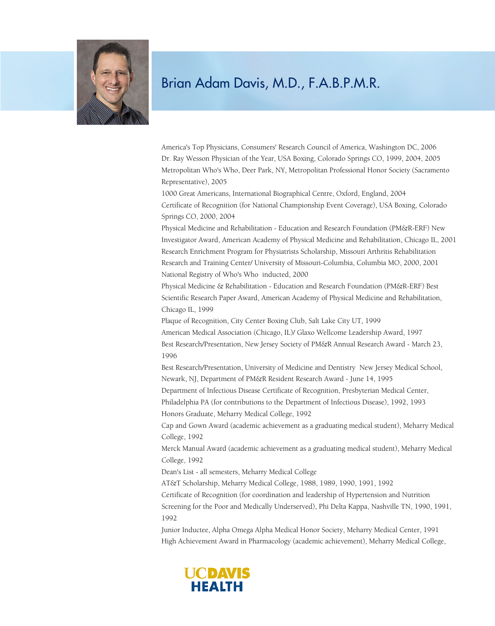

America's Top Physicians, Consumers' Research Council of America, Washington DC, 2006 Dr. Ray Wesson Physician of the Year, USA Boxing, Colorado Springs CO, 1999, 2004, 2005 Metropolitan Who's Who, Deer Park, NY, Metropolitan Professional Honor Society (Sacramento Representative), 2005

1000 Great Americans, International Biographical Centre, Oxford, England, 2004 Certificate of Recognition (for National Championship Event Coverage), USA Boxing, Colorado Springs CO, 2000, 2004

Physical Medicine and Rehabilitation - Education and Research Foundation (PM&R-ERF) New Investigator Award, American Academy of Physical Medicine and Rehabilitation, Chicago IL, 2001 Research Enrichment Program for Physiatrists Scholarship, Missouri Arthritis Rehabilitation Research and Training Center/ University of Missouri-Columbia, Columbia MO, 2000, 2001 National Registry of Who's Who inducted, 2000

Physical Medicine & Rehabilitation - Education and Research Foundation (PM&R-ERF) Best Scientific Research Paper Award, American Academy of Physical Medicine and Rehabilitation, Chicago IL, 1999

Plaque of Recognition, City Center Boxing Club, Salt Lake City UT, 1999

American Medical Association (Chicago, IL)/ Glaxo Wellcome Leadership Award, 1997

Best Research/Presentation, New Jersey Society of PM&R Annual Research Award - March 23, 1996

Best Research/Presentation, University of Medicine and Dentistry New Jersey Medical School, Newark, NJ, Department of PM&R Resident Research Award - June 14, 1995

Department of Infectious Disease Certificate of Recognition, Presbyterian Medical Center,

Philadelphia PA (for contributions to the Department of Infectious Disease), 1992, 1993 Honors Graduate, Meharry Medical College, 1992

Cap and Gown Award (academic achievement as a graduating medical student), Meharry Medical College, 1992

Merck Manual Award (academic achievement as a graduating medical student), Meharry Medical College, 1992

Dean's List - all semesters, Meharry Medical College

AT&T Scholarship, Meharry Medical College, 1988, 1989, 1990, 1991, 1992

Certificate of Recognition (for coordination and leadership of Hypertension and Nutrition

Screening for the Poor and Medically Underserved), Phi Delta Kappa, Nashville TN, 1990, 1991, 1992

Junior Inductee, Alpha Omega Alpha Medical Honor Society, Meharry Medical Center, 1991 High Achievement Award in Pharmacology (academic achievement), Meharry Medical College,

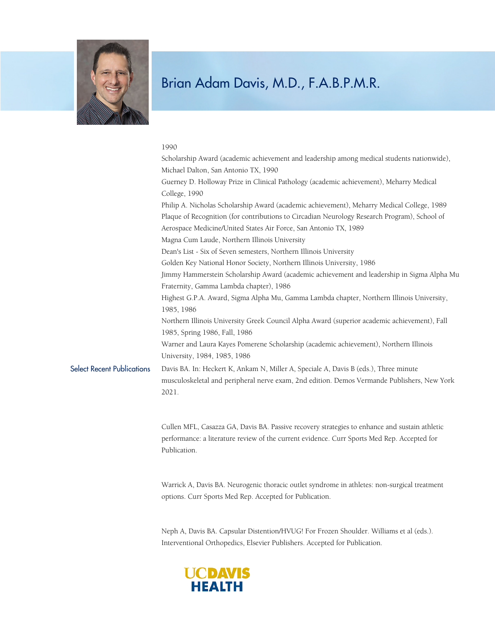

#### 1990

|                                   | Scholarship Award (academic achievement and leadership among medical students nationwide),                                                                                                                   |
|-----------------------------------|--------------------------------------------------------------------------------------------------------------------------------------------------------------------------------------------------------------|
|                                   | Michael Dalton, San Antonio TX, 1990                                                                                                                                                                         |
|                                   | Guerney D. Holloway Prize in Clinical Pathology (academic achievement), Meharry Medical<br>College, 1990                                                                                                     |
|                                   | Philip A. Nicholas Scholarship Award (academic achievement), Meharry Medical College, 1989<br>Plaque of Recognition (for contributions to Circadian Neurology Research Program), School of                   |
|                                   | Aerospace Medicine/United States Air Force, San Antonio TX, 1989                                                                                                                                             |
|                                   | Magna Cum Laude, Northern Illinois University                                                                                                                                                                |
|                                   | Dean's List - Six of Seven semesters, Northern Illinois University                                                                                                                                           |
|                                   | Golden Key National Honor Society, Northern Illinois University, 1986                                                                                                                                        |
|                                   | Jimmy Hammerstein Scholarship Award (academic achievement and leadership in Sigma Alpha Mu<br>Fraternity, Gamma Lambda chapter), 1986                                                                        |
|                                   | Highest G.P.A. Award, Sigma Alpha Mu, Gamma Lambda chapter, Northern Illinois University,<br>1985, 1986                                                                                                      |
|                                   | Northern Illinois University Greek Council Alpha Award (superior academic achievement), Fall<br>1985, Spring 1986, Fall, 1986                                                                                |
|                                   | Warner and Laura Kayes Pomerene Scholarship (academic achievement), Northern Illinois<br>University, 1984, 1985, 1986                                                                                        |
| <b>Select Recent Publications</b> | Davis BA. In: Heckert K, Ankam N, Miller A, Speciale A, Davis B (eds.), Three minute<br>musculoskeletal and peripheral nerve exam, 2nd edition. Demos Vermande Publishers, New York<br>2021.                 |
|                                   | Cullen MFL, Casazza GA, Davis BA. Passive recovery strategies to enhance and sustain athletic<br>performance: a literature review of the current evidence. Curr Sports Med Rep. Accepted for<br>Publication. |
|                                   | Warrick A, Davis BA. Neurogenic thoracic outlet syndrome in athletes: non-surgical treatment<br>options. Curr Sports Med Rep. Accepted for Publication.                                                      |

Neph A, Davis BA. Capsular Distention/HVUG! For Frozen Shoulder. Williams et al (eds.). Interventional Orthopedics, Elsevier Publishers. Accepted for Publication.